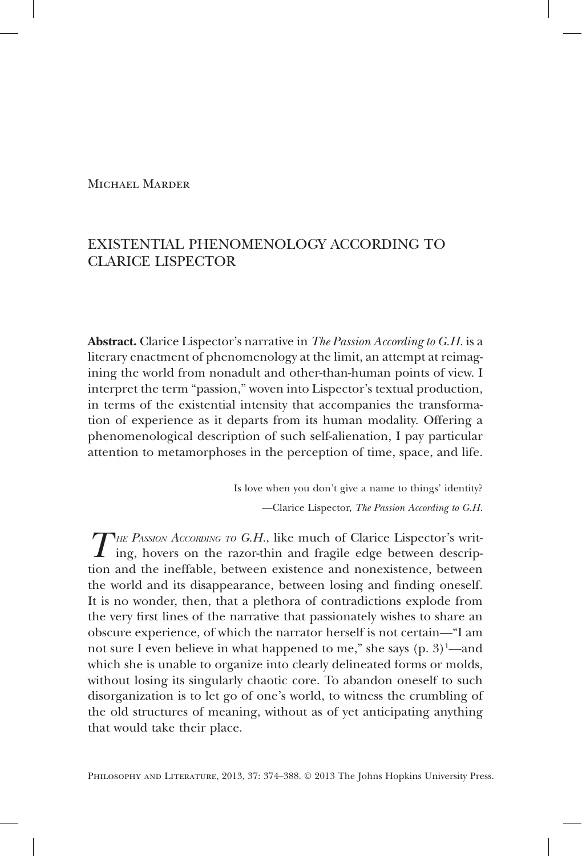# Michael Marder

# Existential Phenomenology According to Clarice Lispector

**Abstract.** Clarice Lispector's narrative in *The Passion According to G.H.* is a literary enactment of phenomenology at the limit, an attempt at reimagining the world from nonadult and other-than-human points of view. I interpret the term "passion," woven into Lispector's textual production, in terms of the existential intensity that accompanies the transformation of experience as it departs from its human modality. Offering a phenomenological description of such self-alienation, I pay particular attention to metamorphoses in the perception of time, space, and life.

> Is love when you don't give a name to things' identity? —Clarice Lispector, *The Passion According to G.H.*

*THE PASSION ACCORDING TO G.H.*, like much of Clarice Lispector's writ-<br>ing, hovers on the razor-thin and fragile edge between description and the ineffable, between existence and nonexistence, between the world and its disappearance, between losing and finding oneself. It is no wonder, then, that a plethora of contradictions explode from the very first lines of the narrative that passionately wishes to share an obscure experience, of which the narrator herself is not certain—"I am not sure I even believe in what happened to me," she says  $(p, 3)^1$ —and which she is unable to organize into clearly delineated forms or molds, without losing its singularly chaotic core. To abandon oneself to such disorganization is to let go of one's world, to witness the crumbling of the old structures of meaning, without as of yet anticipating anything that would take their place.

PHILOSOPHY AND LITERATURE, 2013, 37: 374-388. © 2013 The Johns Hopkins University Press.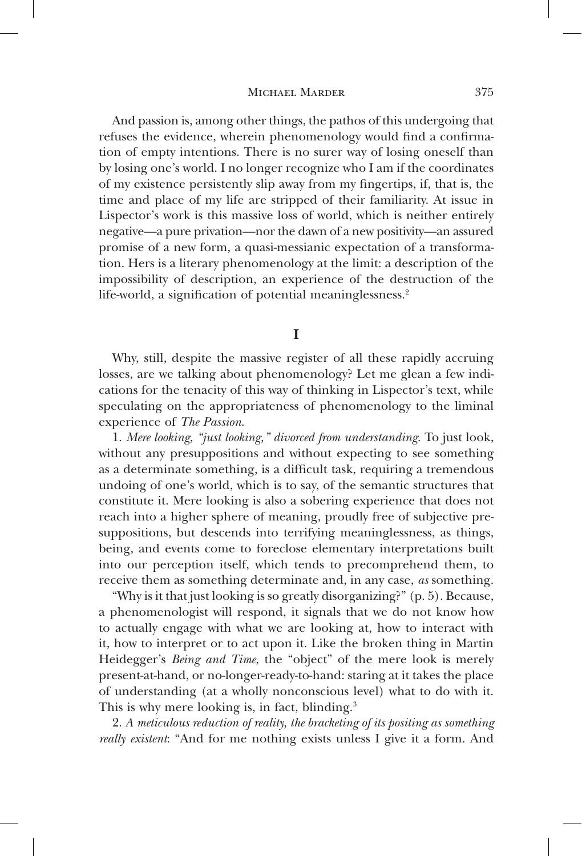And passion is, among other things, the pathos of this undergoing that refuses the evidence, wherein phenomenology would find a confirmation of empty intentions. There is no surer way of losing oneself than by losing one's world. I no longer recognize who I am if the coordinates of my existence persistently slip away from my fingertips, if, that is, the time and place of my life are stripped of their familiarity. At issue in Lispector's work is this massive loss of world, which is neither entirely negative—a pure privation—nor the dawn of a new positivity—an assured promise of a new form, a quasi-messianic expectation of a transformation. Hers is a literary phenomenology at the limit: a description of the impossibility of description, an experience of the destruction of the life-world, a signification of potential meaninglessness.<sup>2</sup>

**I**

Why, still, despite the massive register of all these rapidly accruing losses, are we talking about phenomenology? Let me glean a few indications for the tenacity of this way of thinking in Lispector's text, while speculating on the appropriateness of phenomenology to the liminal experience of *The Passion*.

1. *Mere looking, "just looking," divorced from understanding*. To just look, without any presuppositions and without expecting to see something as a determinate something, is a difficult task, requiring a tremendous undoing of one's world, which is to say, of the semantic structures that constitute it. Mere looking is also a sobering experience that does not reach into a higher sphere of meaning, proudly free of subjective presuppositions, but descends into terrifying meaninglessness, as things, being, and events come to foreclose elementary interpretations built into our perception itself, which tends to precomprehend them, to receive them as something determinate and, in any case, *as* something.

"Why is it that just looking is so greatly disorganizing?" (p. 5). Because, a phenomenologist will respond, it signals that we do not know how to actually engage with what we are looking at, how to interact with it, how to interpret or to act upon it. Like the broken thing in Martin Heidegger's *Being and Time*, the "object" of the mere look is merely present-at-hand, or no-longer-ready-to-hand: staring at it takes the place of understanding (at a wholly nonconscious level) what to do with it. This is why mere looking is, in fact, blinding.<sup>3</sup>

2. *A meticulous reduction of reality, the bracketing of its positing as something really existent*: "And for me nothing exists unless I give it a form. And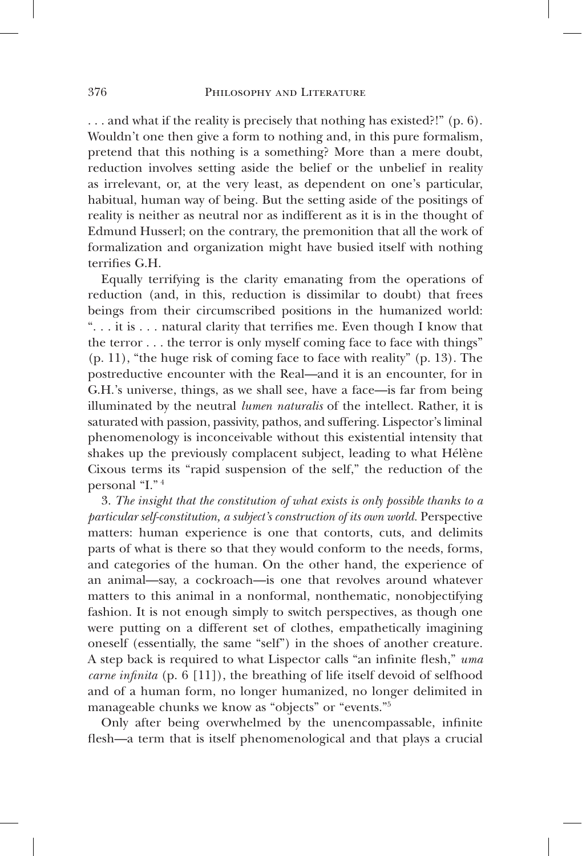. . . and what if the reality is precisely that nothing has existed?!" (p. 6). Wouldn't one then give a form to nothing and, in this pure formalism, pretend that this nothing is a something? More than a mere doubt, reduction involves setting aside the belief or the unbelief in reality as irrelevant, or, at the very least, as dependent on one's particular, habitual, human way of being. But the setting aside of the positings of reality is neither as neutral nor as indifferent as it is in the thought of Edmund Husserl; on the contrary, the premonition that all the work of formalization and organization might have busied itself with nothing terrifies G.H.

Equally terrifying is the clarity emanating from the operations of reduction (and, in this, reduction is dissimilar to doubt) that frees beings from their circumscribed positions in the humanized world: ". . . it is . . . natural clarity that terrifies me. Even though I know that the terror . . . the terror is only myself coming face to face with things" (p. 11), "the huge risk of coming face to face with reality" (p. 13). The postreductive encounter with the Real—and it is an encounter, for in G.H.'s universe, things, as we shall see, have a face—is far from being illuminated by the neutral *lumen naturalis* of the intellect. Rather, it is saturated with passion, passivity, pathos, and suffering. Lispector's liminal phenomenology is inconceivable without this existential intensity that shakes up the previously complacent subject, leading to what Hélène Cixous terms its "rapid suspension of the self," the reduction of the personal "I." 4

3. *The insight that the constitution of what exists is only possible thanks to a particular self-constitution, a subject's construction of its own world.* Perspective matters: human experience is one that contorts, cuts, and delimits parts of what is there so that they would conform to the needs, forms, and categories of the human. On the other hand, the experience of an animal—say, a cockroach—is one that revolves around whatever matters to this animal in a nonformal, nonthematic, nonobjectifying fashion. It is not enough simply to switch perspectives, as though one were putting on a different set of clothes, empathetically imagining oneself (essentially, the same "self") in the shoes of another creature. A step back is required to what Lispector calls "an infinite flesh," *uma carne infinita* (p. 6 [11]), the breathing of life itself devoid of selfhood and of a human form, no longer humanized, no longer delimited in manageable chunks we know as "objects" or "events."5

Only after being overwhelmed by the unencompassable, infinite flesh—a term that is itself phenomenological and that plays a crucial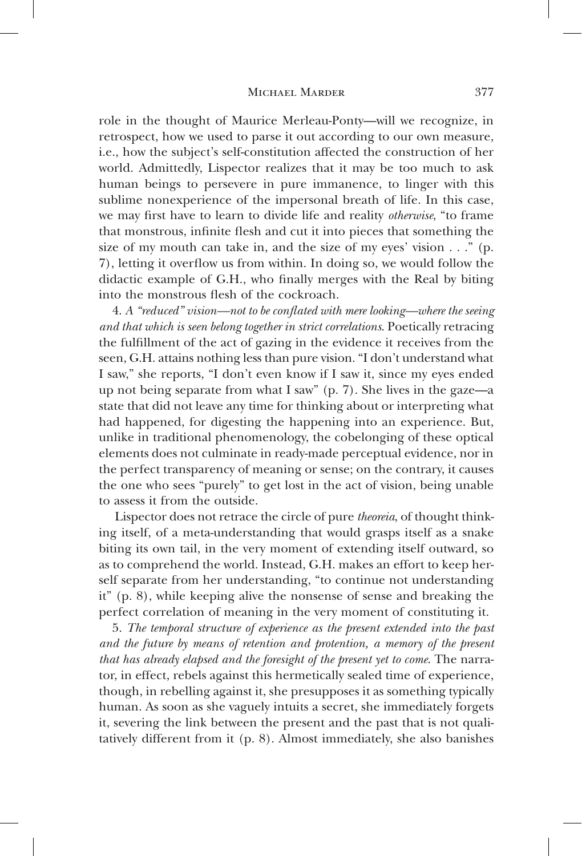role in the thought of Maurice Merleau-Ponty—will we recognize, in retrospect, how we used to parse it out according to our own measure, i.e., how the subject's self-constitution affected the construction of her world. Admittedly, Lispector realizes that it may be too much to ask human beings to persevere in pure immanence, to linger with this sublime nonexperience of the impersonal breath of life. In this case, we may first have to learn to divide life and reality *otherwise*, "to frame that monstrous, infinite flesh and cut it into pieces that something the size of my mouth can take in, and the size of my eyes' vision  $\dots$ " (p. 7), letting it overflow us from within. In doing so, we would follow the didactic example of G.H., who finally merges with the Real by biting into the monstrous flesh of the cockroach.

4. *A "reduced" vision—not to be conflated with mere looking—where the seeing and that which is seen belong together in strict correlations*. Poetically retracing the fulfillment of the act of gazing in the evidence it receives from the seen, G.H. attains nothing less than pure vision. "I don't understand what I saw," she reports, "I don't even know if I saw it, since my eyes ended up not being separate from what I saw" (p. 7). She lives in the gaze—a state that did not leave any time for thinking about or interpreting what had happened, for digesting the happening into an experience. But, unlike in traditional phenomenology, the cobelonging of these optical elements does not culminate in ready-made perceptual evidence, nor in the perfect transparency of meaning or sense; on the contrary, it causes the one who sees "purely" to get lost in the act of vision, being unable to assess it from the outside.

Lispector does not retrace the circle of pure *theoreia*, of thought thinking itself, of a meta-understanding that would grasps itself as a snake biting its own tail, in the very moment of extending itself outward, so as to comprehend the world. Instead, G.H. makes an effort to keep herself separate from her understanding, "to continue not understanding it" (p. 8), while keeping alive the nonsense of sense and breaking the perfect correlation of meaning in the very moment of constituting it.

5. *The temporal structure of experience as the present extended into the past and the future by means of retention and protention, a memory of the present that has already elapsed and the foresight of the present yet to come*. The narrator, in effect, rebels against this hermetically sealed time of experience, though, in rebelling against it, she presupposes it as something typically human. As soon as she vaguely intuits a secret, she immediately forgets it, severing the link between the present and the past that is not qualitatively different from it (p. 8). Almost immediately, she also banishes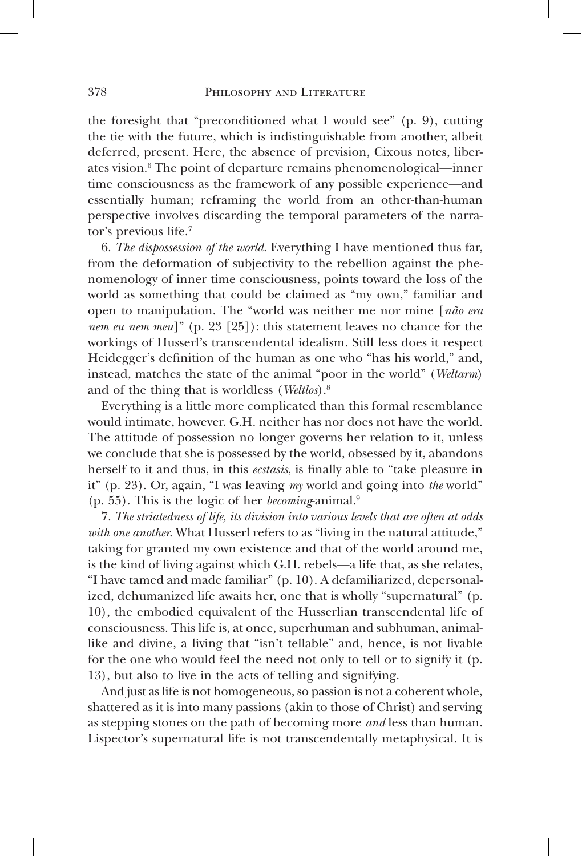the foresight that "preconditioned what I would see" (p. 9), cutting the tie with the future, which is indistinguishable from another, albeit deferred, present. Here, the absence of prevision, Cixous notes, liberates vision.<sup>6</sup> The point of departure remains phenomenological—inner time consciousness as the framework of any possible experience—and essentially human; reframing the world from an other-than-human perspective involves discarding the temporal parameters of the narrator's previous life.7

6. *The dispossession of the world*. Everything I have mentioned thus far, from the deformation of subjectivity to the rebellion against the phenomenology of inner time consciousness, points toward the loss of the world as something that could be claimed as "my own," familiar and open to manipulation. The "world was neither me nor mine [*não era nem eu nem meu*]" (p. 23 [25]): this statement leaves no chance for the workings of Husserl's transcendental idealism. Still less does it respect Heidegger's definition of the human as one who "has his world," and, instead, matches the state of the animal "poor in the world" (*Weltarm*) and of the thing that is worldless (*Weltlos*).8

Everything is a little more complicated than this formal resemblance would intimate, however. G.H. neither has nor does not have the world. The attitude of possession no longer governs her relation to it, unless we conclude that she is possessed by the world, obsessed by it, abandons herself to it and thus, in this *ecstasis*, is finally able to "take pleasure in it" (p. 23). Or, again, "I was leaving *my* world and going into *the* world" (p. 55). This is the logic of her *becoming*-animal.9

7. *The striatedness of life, its division into various levels that are often at odds with one another*. What Husserl refers to as "living in the natural attitude," taking for granted my own existence and that of the world around me, is the kind of living against which G.H. rebels—a life that, as she relates, "I have tamed and made familiar" (p. 10). A defamiliarized, depersonalized, dehumanized life awaits her, one that is wholly "supernatural" (p. 10), the embodied equivalent of the Husserlian transcendental life of consciousness. This life is, at once, superhuman and subhuman, animallike and divine, a living that "isn't tellable" and, hence, is not livable for the one who would feel the need not only to tell or to signify it (p. 13), but also to live in the acts of telling and signifying.

And just as life is not homogeneous, so passion is not a coherent whole, shattered as it is into many passions (akin to those of Christ) and serving as stepping stones on the path of becoming more *and* less than human. Lispector's supernatural life is not transcendentally metaphysical. It is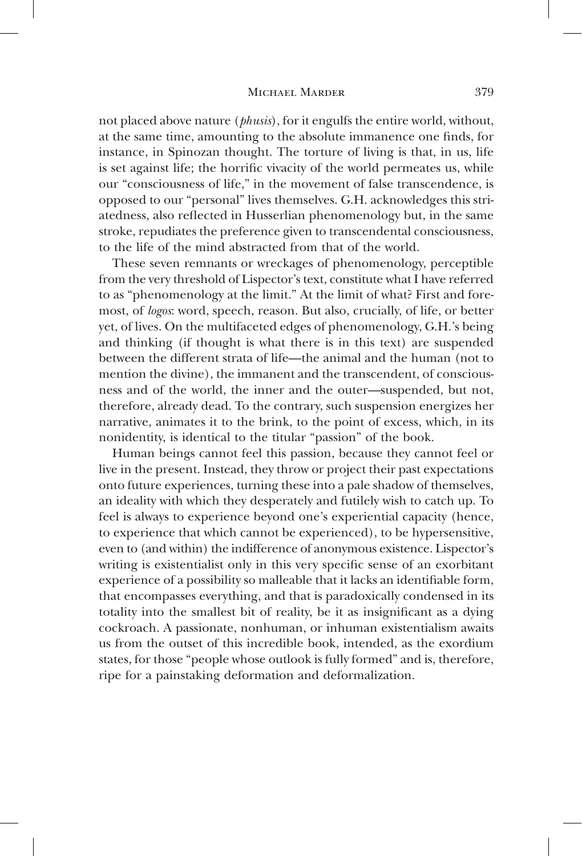not placed above nature (*phusis*), for it engulfs the entire world, without, at the same time, amounting to the absolute immanence one finds, for instance, in Spinozan thought. The torture of living is that, in us, life is set against life; the horrific vivacity of the world permeates us, while our "consciousness of life," in the movement of false transcendence, is opposed to our "personal" lives themselves. G.H. acknowledges this striatedness, also reflected in Husserlian phenomenology but, in the same stroke, repudiates the preference given to transcendental consciousness, to the life of the mind abstracted from that of the world.

These seven remnants or wreckages of phenomenology, perceptible from the very threshold of Lispector's text, constitute what I have referred to as "phenomenology at the limit." At the limit of what? First and foremost, of *logos*: word, speech, reason. But also, crucially, of life, or better yet, of lives. On the multifaceted edges of phenomenology, G.H.'s being and thinking (if thought is what there is in this text) are suspended between the different strata of life—the animal and the human (not to mention the divine), the immanent and the transcendent, of consciousness and of the world, the inner and the outer—suspended, but not, therefore, already dead. To the contrary, such suspension energizes her narrative, animates it to the brink, to the point of excess, which, in its nonidentity, is identical to the titular "passion" of the book.

Human beings cannot feel this passion, because they cannot feel or live in the present. Instead, they throw or project their past expectations onto future experiences, turning these into a pale shadow of themselves, an ideality with which they desperately and futilely wish to catch up. To feel is always to experience beyond one's experiential capacity (hence, to experience that which cannot be experienced), to be hypersensitive, even to (and within) the indifference of anonymous existence. Lispector's writing is existentialist only in this very specific sense of an exorbitant experience of a possibility so malleable that it lacks an identifiable form, that encompasses everything, and that is paradoxically condensed in its totality into the smallest bit of reality, be it as insignificant as a dying cockroach. A passionate, nonhuman, or inhuman existentialism awaits us from the outset of this incredible book, intended, as the exordium states, for those "people whose outlook is fully formed" and is, therefore, ripe for a painstaking deformation and deformalization.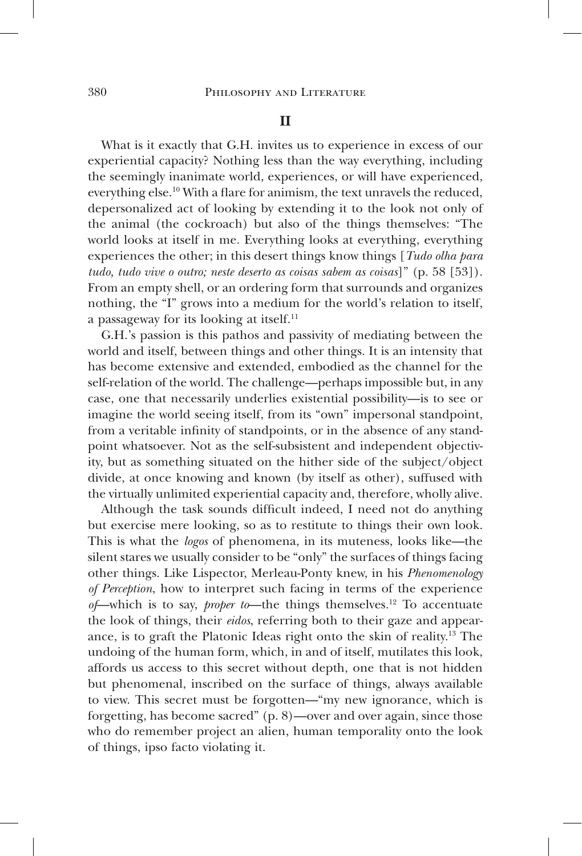What is it exactly that G.H. invites us to experience in excess of our experiential capacity? Nothing less than the way everything, including the seemingly inanimate world, experiences, or will have experienced, everything else.<sup>10</sup> With a flare for animism, the text unravels the reduced, depersonalized act of looking by extending it to the look not only of the animal (the cockroach) but also of the things themselves: "The world looks at itself in me. Everything looks at everything, everything experiences the other; in this desert things know things [*Tudo olha para tudo, tudo vive o outro; neste deserto as coisas sabem as coisas*]" (p. 58 [53]). From an empty shell, or an ordering form that surrounds and organizes nothing, the "I" grows into a medium for the world's relation to itself, a passageway for its looking at itself.11

G.H.'s passion is this pathos and passivity of mediating between the world and itself, between things and other things. It is an intensity that has become extensive and extended, embodied as the channel for the self-relation of the world. The challenge—perhaps impossible but, in any case, one that necessarily underlies existential possibility—is to see or imagine the world seeing itself, from its "own" impersonal standpoint, from a veritable infinity of standpoints, or in the absence of any standpoint whatsoever. Not as the self-subsistent and independent objectivity, but as something situated on the hither side of the subject/object divide, at once knowing and known (by itself as other), suffused with the virtually unlimited experiential capacity and, therefore, wholly alive.

Although the task sounds difficult indeed, I need not do anything but exercise mere looking, so as to restitute to things their own look. This is what the *logos* of phenomena, in its muteness, looks like—the silent stares we usually consider to be "only" the surfaces of things facing other things. Like Lispector, Merleau-Ponty knew, in his *Phenomenology of Perception*, how to interpret such facing in terms of the experience *of*—which is to say, *proper to*—the things themselves.12 To accentuate the look of things, their *eidos*, referring both to their gaze and appearance, is to graft the Platonic Ideas right onto the skin of reality.13 The undoing of the human form, which, in and of itself, mutilates this look, affords us access to this secret without depth, one that is not hidden but phenomenal, inscribed on the surface of things, always available to view. This secret must be forgotten—"my new ignorance, which is forgetting, has become sacred" (p. 8)—over and over again, since those who do remember project an alien, human temporality onto the look of things, ipso facto violating it.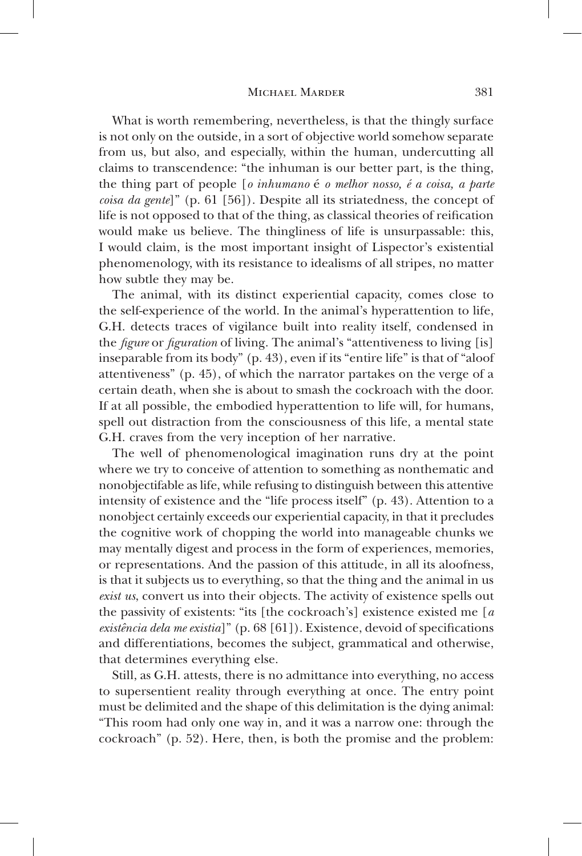What is worth remembering, nevertheless, is that the thingly surface is not only on the outside, in a sort of objective world somehow separate from us, but also, and especially, within the human, undercutting all claims to transcendence: "the inhuman is our better part, is the thing, the thing part of people [*o inhumano* é *o melhor nosso, é a coisa, a parte coisa da gente*]" (p. 61 [56]). Despite all its striatedness, the concept of life is not opposed to that of the thing, as classical theories of reification would make us believe. The thingliness of life is unsurpassable: this, I would claim, is the most important insight of Lispector's existential phenomenology, with its resistance to idealisms of all stripes, no matter how subtle they may be.

The animal, with its distinct experiential capacity, comes close to the self-experience of the world. In the animal's hyperattention to life, G.H. detects traces of vigilance built into reality itself, condensed in the *figure* or *figuration* of living. The animal's "attentiveness to living [is] inseparable from its body" (p. 43), even if its "entire life" is that of "aloof attentiveness" (p. 45), of which the narrator partakes on the verge of a certain death, when she is about to smash the cockroach with the door. If at all possible, the embodied hyperattention to life will, for humans, spell out distraction from the consciousness of this life, a mental state G.H. craves from the very inception of her narrative.

The well of phenomenological imagination runs dry at the point where we try to conceive of attention to something as nonthematic and nonobjectifable as life, while refusing to distinguish between this attentive intensity of existence and the "life process itself" (p. 43). Attention to a nonobject certainly exceeds our experiential capacity, in that it precludes the cognitive work of chopping the world into manageable chunks we may mentally digest and process in the form of experiences, memories, or representations. And the passion of this attitude, in all its aloofness, is that it subjects us to everything, so that the thing and the animal in us *exist us*, convert us into their objects. The activity of existence spells out the passivity of existents: "its [the cockroach's] existence existed me [*a existência dela me existia*]" (p. 68 [61]). Existence, devoid of specifications and differentiations, becomes the subject, grammatical and otherwise, that determines everything else.

Still, as G.H. attests, there is no admittance into everything, no access to supersentient reality through everything at once. The entry point must be delimited and the shape of this delimitation is the dying animal: "This room had only one way in, and it was a narrow one: through the cockroach" (p. 52). Here, then, is both the promise and the problem: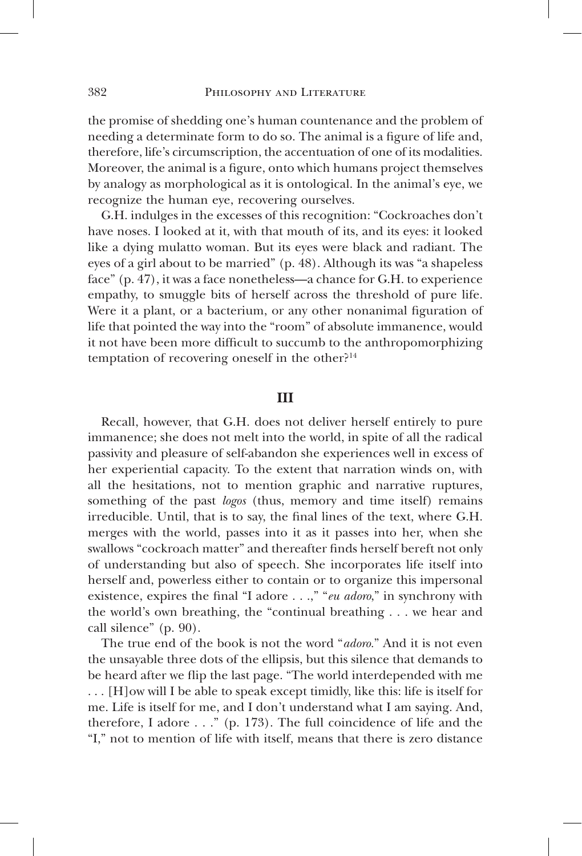the promise of shedding one's human countenance and the problem of needing a determinate form to do so. The animal is a figure of life and, therefore, life's circumscription, the accentuation of one of its modalities. Moreover, the animal is a figure, onto which humans project themselves by analogy as morphological as it is ontological. In the animal's eye, we recognize the human eye, recovering ourselves.

G.H. indulges in the excesses of this recognition: "Cockroaches don't have noses. I looked at it, with that mouth of its, and its eyes: it looked like a dying mulatto woman. But its eyes were black and radiant. The eyes of a girl about to be married" (p. 48). Although its was "a shapeless face" (p. 47), it was a face nonetheless—a chance for G.H. to experience empathy, to smuggle bits of herself across the threshold of pure life. Were it a plant, or a bacterium, or any other nonanimal figuration of life that pointed the way into the "room" of absolute immanence, would it not have been more difficult to succumb to the anthropomorphizing temptation of recovering oneself in the other?<sup>14</sup>

## **III**

Recall, however, that G.H. does not deliver herself entirely to pure immanence; she does not melt into the world, in spite of all the radical passivity and pleasure of self-abandon she experiences well in excess of her experiential capacity. To the extent that narration winds on, with all the hesitations, not to mention graphic and narrative ruptures, something of the past *logos* (thus, memory and time itself) remains irreducible. Until, that is to say, the final lines of the text, where G.H. merges with the world, passes into it as it passes into her, when she swallows "cockroach matter" and thereafter finds herself bereft not only of understanding but also of speech. She incorporates life itself into herself and, powerless either to contain or to organize this impersonal existence, expires the final "I adore . . .," "*eu adoro*," in synchrony with the world's own breathing, the "continual breathing . . . we hear and call silence" (p. 90).

The true end of the book is not the word "*adoro.*" And it is not even the unsayable three dots of the ellipsis, but this silence that demands to be heard after we flip the last page. "The world interdepended with me . . . [H]ow will I be able to speak except timidly, like this: life is itself for me. Life is itself for me, and I don't understand what I am saying. And, therefore, I adore . . ." (p. 173). The full coincidence of life and the "I," not to mention of life with itself, means that there is zero distance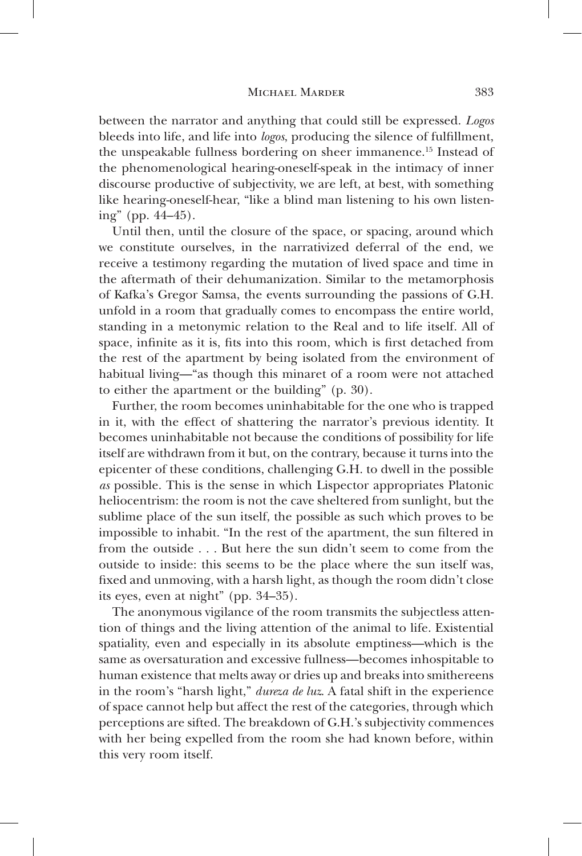between the narrator and anything that could still be expressed. *Logos*  bleeds into life, and life into *logos*, producing the silence of fulfillment, the unspeakable fullness bordering on sheer immanence.15 Instead of the phenomenological hearing-oneself-speak in the intimacy of inner discourse productive of subjectivity, we are left, at best, with something like hearing-oneself-hear, "like a blind man listening to his own listening" (pp. 44–45).

Until then, until the closure of the space, or spacing, around which we constitute ourselves, in the narrativized deferral of the end, we receive a testimony regarding the mutation of lived space and time in the aftermath of their dehumanization. Similar to the metamorphosis of Kafka's Gregor Samsa, the events surrounding the passions of G.H. unfold in a room that gradually comes to encompass the entire world, standing in a metonymic relation to the Real and to life itself. All of space, infinite as it is, fits into this room, which is first detached from the rest of the apartment by being isolated from the environment of habitual living—"as though this minaret of a room were not attached to either the apartment or the building" (p. 30).

Further, the room becomes uninhabitable for the one who is trapped in it, with the effect of shattering the narrator's previous identity. It becomes uninhabitable not because the conditions of possibility for life itself are withdrawn from it but, on the contrary, because it turns into the epicenter of these conditions, challenging G.H. to dwell in the possible *as* possible. This is the sense in which Lispector appropriates Platonic heliocentrism: the room is not the cave sheltered from sunlight, but the sublime place of the sun itself, the possible as such which proves to be impossible to inhabit. "In the rest of the apartment, the sun filtered in from the outside . . . But here the sun didn't seem to come from the outside to inside: this seems to be the place where the sun itself was, fixed and unmoving, with a harsh light, as though the room didn't close its eyes, even at night" (pp. 34–35).

The anonymous vigilance of the room transmits the subjectless attention of things and the living attention of the animal to life. Existential spatiality, even and especially in its absolute emptiness—which is the same as oversaturation and excessive fullness—becomes inhospitable to human existence that melts away or dries up and breaks into smithereens in the room's "harsh light," *dureza de luz*. A fatal shift in the experience of space cannot help but affect the rest of the categories, through which perceptions are sifted. The breakdown of G.H.'s subjectivity commences with her being expelled from the room she had known before, within this very room itself.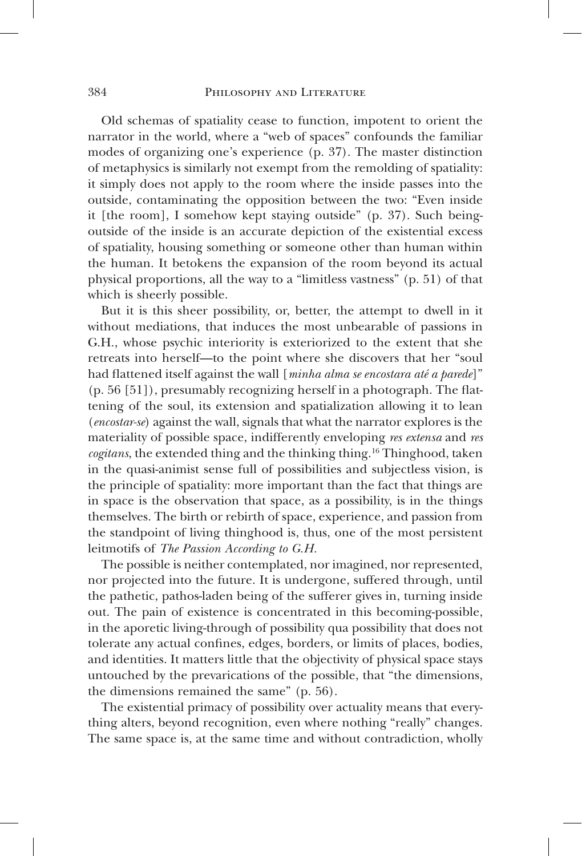Old schemas of spatiality cease to function, impotent to orient the narrator in the world, where a "web of spaces" confounds the familiar modes of organizing one's experience (p. 37). The master distinction of metaphysics is similarly not exempt from the remolding of spatiality: it simply does not apply to the room where the inside passes into the outside, contaminating the opposition between the two: "Even inside it [the room], I somehow kept staying outside" (p. 37). Such beingoutside of the inside is an accurate depiction of the existential excess of spatiality, housing something or someone other than human within the human. It betokens the expansion of the room beyond its actual physical proportions, all the way to a "limitless vastness" (p. 51) of that which is sheerly possible.

But it is this sheer possibility, or, better, the attempt to dwell in it without mediations, that induces the most unbearable of passions in G.H., whose psychic interiority is exteriorized to the extent that she retreats into herself—to the point where she discovers that her "soul had flattened itself against the wall [*minha alma se encostara até a parede*]" (p. 56 [51]), presumably recognizing herself in a photograph. The flattening of the soul, its extension and spatialization allowing it to lean (*encostar-se*) against the wall, signals that what the narrator explores is the materiality of possible space, indifferently enveloping *res extensa* and *res cogitans*, the extended thing and the thinking thing.16 Thinghood, taken in the quasi-animist sense full of possibilities and subjectless vision, is the principle of spatiality: more important than the fact that things are in space is the observation that space, as a possibility, is in the things themselves. The birth or rebirth of space, experience, and passion from the standpoint of living thinghood is, thus, one of the most persistent leitmotifs of *The Passion According to G.H.*

The possible is neither contemplated, nor imagined, nor represented, nor projected into the future. It is undergone, suffered through, until the pathetic, pathos-laden being of the sufferer gives in, turning inside out. The pain of existence is concentrated in this becoming-possible, in the aporetic living-through of possibility qua possibility that does not tolerate any actual confines, edges, borders, or limits of places, bodies, and identities. It matters little that the objectivity of physical space stays untouched by the prevarications of the possible, that "the dimensions, the dimensions remained the same" (p. 56).

The existential primacy of possibility over actuality means that everything alters, beyond recognition, even where nothing "really" changes. The same space is, at the same time and without contradiction, wholly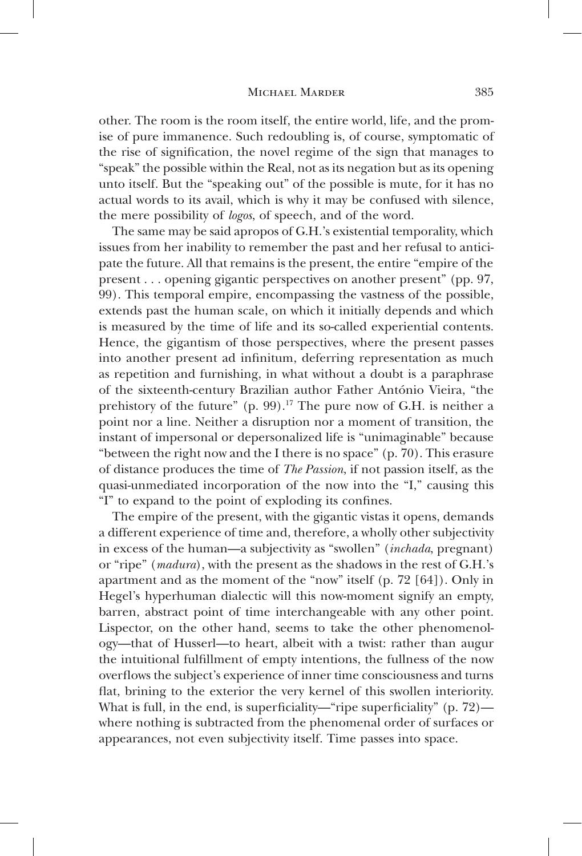other. The room is the room itself, the entire world, life, and the promise of pure immanence. Such redoubling is, of course, symptomatic of the rise of signification, the novel regime of the sign that manages to "speak" the possible within the Real, not as its negation but as its opening unto itself. But the "speaking out" of the possible is mute, for it has no actual words to its avail, which is why it may be confused with silence, the mere possibility of *logos*, of speech, and of the word.

The same may be said apropos of G.H.'s existential temporality, which issues from her inability to remember the past and her refusal to anticipate the future. All that remains is the present, the entire "empire of the present . . . opening gigantic perspectives on another present" (pp. 97, 99). This temporal empire, encompassing the vastness of the possible, extends past the human scale, on which it initially depends and which is measured by the time of life and its so-called experiential contents. Hence, the gigantism of those perspectives, where the present passes into another present ad infinitum, deferring representation as much as repetition and furnishing, in what without a doubt is a paraphrase of the sixteenth-century Brazilian author Father António Vieira, "the prehistory of the future"  $(p. 99)$ .<sup>17</sup> The pure now of G.H. is neither a point nor a line. Neither a disruption nor a moment of transition, the instant of impersonal or depersonalized life is "unimaginable" because "between the right now and the I there is no space" (p. 70). This erasure of distance produces the time of *The Passion*, if not passion itself, as the quasi-unmediated incorporation of the now into the "I," causing this "I" to expand to the point of exploding its confines.

The empire of the present, with the gigantic vistas it opens, demands a different experience of time and, therefore, a wholly other subjectivity in excess of the human—a subjectivity as "swollen" (*inchada*, pregnant) or "ripe" (*madura*), with the present as the shadows in the rest of G.H.'s apartment and as the moment of the "now" itself (p. 72 [64]). Only in Hegel's hyperhuman dialectic will this now-moment signify an empty, barren, abstract point of time interchangeable with any other point. Lispector, on the other hand, seems to take the other phenomenology—that of Husserl—to heart, albeit with a twist: rather than augur the intuitional fulfillment of empty intentions, the fullness of the now overflows the subject's experience of inner time consciousness and turns flat, brining to the exterior the very kernel of this swollen interiority. What is full, in the end, is superficiality—"ripe superficiality" (p.  $72$ ) where nothing is subtracted from the phenomenal order of surfaces or appearances, not even subjectivity itself. Time passes into space.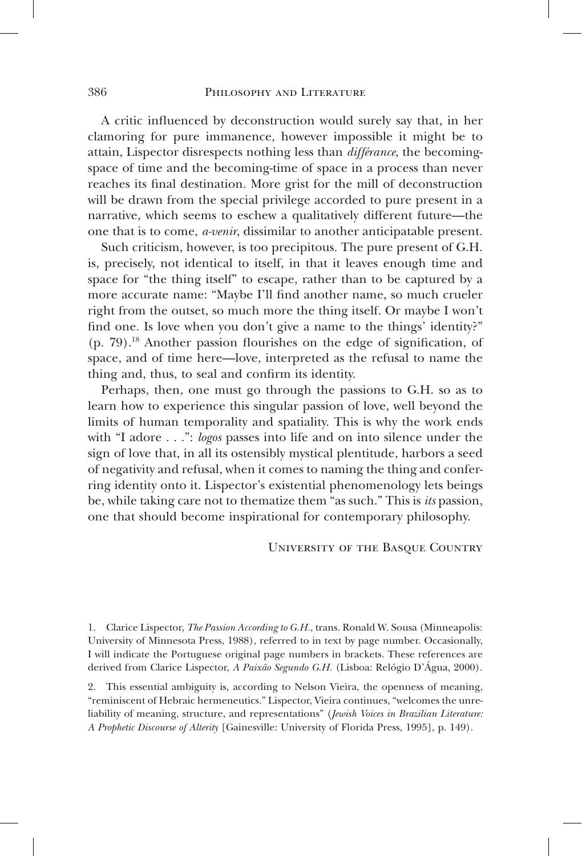A critic influenced by deconstruction would surely say that, in her clamoring for pure immanence, however impossible it might be to attain, Lispector disrespects nothing less than *différance*, the becomingspace of time and the becoming-time of space in a process than never reaches its final destination. More grist for the mill of deconstruction will be drawn from the special privilege accorded to pure present in a narrative, which seems to eschew a qualitatively different future—the one that is to come, *a-venir*, dissimilar to another anticipatable present.

Such criticism, however, is too precipitous. The pure present of G.H. is, precisely, not identical to itself, in that it leaves enough time and space for "the thing itself" to escape, rather than to be captured by a more accurate name: "Maybe I'll find another name, so much crueler right from the outset, so much more the thing itself. Or maybe I won't find one. Is love when you don't give a name to the things' identity?" (p. 79).18 Another passion flourishes on the edge of signification, of space, and of time here—love, interpreted as the refusal to name the thing and, thus, to seal and confirm its identity.

Perhaps, then, one must go through the passions to G.H. so as to learn how to experience this singular passion of love, well beyond the limits of human temporality and spatiality. This is why the work ends with "I adore . . .": *logos* passes into life and on into silence under the sign of love that, in all its ostensibly mystical plentitude, harbors a seed of negativity and refusal, when it comes to naming the thing and conferring identity onto it. Lispector's existential phenomenology lets beings be, while taking care not to thematize them "as such." This is *its* passion, one that should become inspirational for contemporary philosophy.

#### University of the Basque Country

1. Clarice Lispector, *The Passion According to G.H.*, trans. Ronald W. Sousa (Minneapolis: University of Minnesota Press, 1988), referred to in text by page number. Occasionally, I will indicate the Portuguese original page numbers in brackets. These references are derived from Clarice Lispector, *A Paixão Segundo G.H.* (Lisboa: Relógio D'Água, 2000).

2. This essential ambiguity is, according to Nelson Vieira, the openness of meaning, "reminiscent of Hebraic hermeneutics." Lispector, Vieira continues, "welcomes the unreliability of meaning, structure, and representations" (*Jewish Voices in Brazilian Literature: A Prophetic Discourse of Alterity* [Gainesville: University of Florida Press, 1995], p. 149).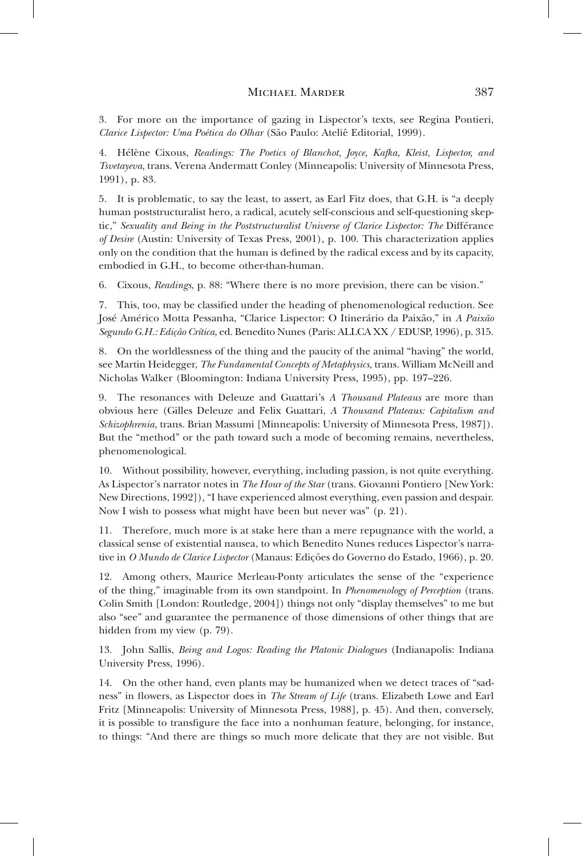3. For more on the importance of gazing in Lispector's texts, see Regina Pontieri, *Clarice Lispector: Uma Poética do Olhar* (São Paulo: Ateliê Editorial, 1999).

4. Hélène Cixous, *Readings: The Poetics of Blanchot, Joyce, Kafka, Kleist, Lispector, and Tsvetayeva*, trans. Verena Andermatt Conley (Minneapolis: University of Minnesota Press, 1991), p. 83.

5. It is problematic, to say the least, to assert, as Earl Fitz does, that G.H. is "a deeply human poststructuralist hero, a radical, acutely self-conscious and self-questioning skeptic," Sexuality and Being in the Poststructuralist Universe of Clarice Lispector: The Différance *of Desire* (Austin: University of Texas Press, 2001), p. 100. This characterization applies only on the condition that the human is defined by the radical excess and by its capacity, embodied in G.H., to become other-than-human.

6. Cixous, *Readings*, p. 88: "Where there is no more prevision, there can be vision."

7. This, too, may be classified under the heading of phenomenological reduction. See José Américo Motta Pessanha, "Clarice Lispector: O Itinerário da Paixão," in *A Paixão Segundo G.H.: Edição Crítica*, ed. Benedito Nunes (Paris: ALLCA XX / EDUSP, 1996), p. 315.

8. On the worldlessness of the thing and the paucity of the animal "having" the world, see Martin Heidegger, *The Fundamental Concepts of Metaphysics*, trans. William McNeill and Nicholas Walker (Bloomington: Indiana University Press, 1995), pp. 197–226.

9. The resonances with Deleuze and Guattari's *A Thousand Plateaus* are more than obvious here (Gilles Deleuze and Felix Guattari, *A Thousand Plateaus: Capitalism and Schizophrenia*, trans. Brian Massumi [Minneapolis: University of Minnesota Press, 1987]). But the "method" or the path toward such a mode of becoming remains, nevertheless, phenomenological.

10. Without possibility, however, everything, including passion, is not quite everything. As Lispector's narrator notes in *The Hour of the Star* (trans. Giovanni Pontiero [New York: New Directions, 1992])*,* "I have experienced almost everything, even passion and despair. Now I wish to possess what might have been but never was" (p. 21).

11. Therefore, much more is at stake here than a mere repugnance with the world, a classical sense of existential nausea, to which Benedito Nunes reduces Lispector's narrative in *O Mundo de Clarice Lispector* (Manaus: Edições do Governo do Estado, 1966), p. 20.

12. Among others, Maurice Merleau-Ponty articulates the sense of the "experience of the thing," imaginable from its own standpoint. In *Phenomenology of Perception* (trans. Colin Smith [London: Routledge, 2004]) things not only "display themselves" to me but also "see" and guarantee the permanence of those dimensions of other things that are hidden from my view (p. 79).

13. John Sallis, *Being and Logos: Reading the Platonic Dialogues* (Indianapolis: Indiana University Press, 1996).

14. On the other hand, even plants may be humanized when we detect traces of "sadness" in flowers, as Lispector does in *The Stream of Life* (trans. Elizabeth Lowe and Earl Fritz [Minneapolis: University of Minnesota Press, 1988], p. 45). And then, conversely, it is possible to transfigure the face into a nonhuman feature, belonging, for instance, to things: "And there are things so much more delicate that they are not visible. But